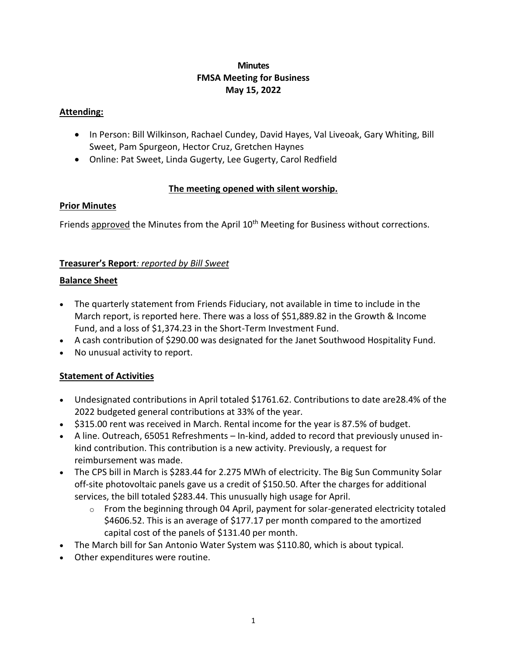# **Minutes FMSA Meeting for Business May 15, 2022**

#### **Attending:**

- In Person: Bill Wilkinson, Rachael Cundey, David Hayes, Val Liveoak, Gary Whiting, Bill Sweet, Pam Spurgeon, Hector Cruz, Gretchen Haynes
- Online: Pat Sweet, Linda Gugerty, Lee Gugerty, Carol Redfield

## **The meeting opened with silent worship.**

## **Prior Minutes**

Friends approved the Minutes from the April 10<sup>th</sup> Meeting for Business without corrections.

## **Treasurer's Report***: reported by Bill Sweet*

## **Balance Sheet**

- The quarterly statement from Friends Fiduciary, not available in time to include in the March report, is reported here. There was a loss of \$51,889.82 in the Growth & Income Fund, and a loss of \$1,374.23 in the Short-Term Investment Fund.
- A cash contribution of \$290.00 was designated for the Janet Southwood Hospitality Fund.
- No unusual activity to report.

## **Statement of Activities**

- Undesignated contributions in April totaled \$1761.62. Contributions to date are28.4% of the 2022 budgeted general contributions at 33% of the year*.*
- \$315.00 rent was received in March. Rental income for the year is 87.5% of budget.
- A line. Outreach, 65051 Refreshments In-kind, added to record that previously unused inkind contribution. This contribution is a new activity. Previously, a request for reimbursement was made.
- The CPS bill in March is \$283.44 for 2.275 MWh of electricity. The Big Sun Community Solar off-site photovoltaic panels gave us a credit of \$150.50. After the charges for additional services, the bill totaled \$283.44. This unusually high usage for April.
	- $\circ$  From the beginning through 04 April, payment for solar-generated electricity totaled \$4606.52. This is an average of \$177.17 per month compared to the amortized capital cost of the panels of \$131.40 per month.
- The March bill for San Antonio Water System was \$110.80, which is about typical.
- Other expenditures were routine.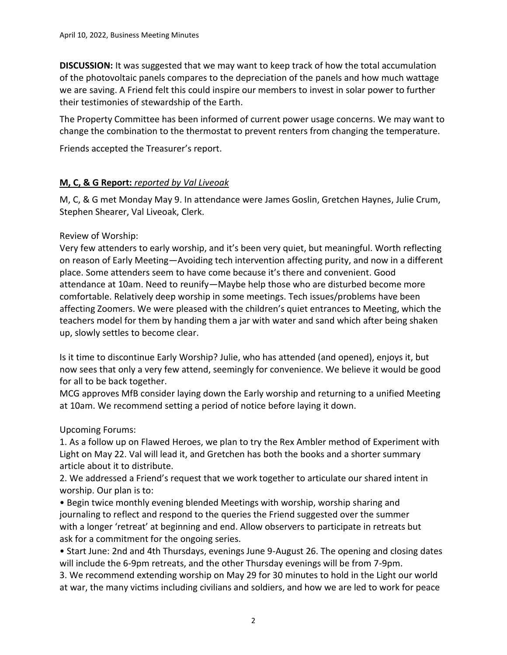**DISCUSSION:** It was suggested that we may want to keep track of how the total accumulation of the photovoltaic panels compares to the depreciation of the panels and how much wattage we are saving. A Friend felt this could inspire our members to invest in solar power to further their testimonies of stewardship of the Earth.

The Property Committee has been informed of current power usage concerns. We may want to change the combination to the thermostat to prevent renters from changing the temperature.

Friends accepted the Treasurer's report.

## **M, C, & G Report:** *reported by Val Liveoak*

M, C, & G met Monday May 9. In attendance were James Goslin, Gretchen Haynes, Julie Crum, Stephen Shearer, Val Liveoak, Clerk.

## Review of Worship:

Very few attenders to early worship, and it's been very quiet, but meaningful. Worth reflecting on reason of Early Meeting—Avoiding tech intervention affecting purity, and now in a different place. Some attenders seem to have come because it's there and convenient. Good attendance at 10am. Need to reunify—Maybe help those who are disturbed become more comfortable. Relatively deep worship in some meetings. Tech issues/problems have been affecting Zoomers. We were pleased with the children's quiet entrances to Meeting, which the teachers model for them by handing them a jar with water and sand which after being shaken up, slowly settles to become clear.

Is it time to discontinue Early Worship? Julie, who has attended (and opened), enjoys it, but now sees that only a very few attend, seemingly for convenience. We believe it would be good for all to be back together.

MCG approves MfB consider laying down the Early worship and returning to a unified Meeting at 10am. We recommend setting a period of notice before laying it down.

Upcoming Forums:

1. As a follow up on Flawed Heroes, we plan to try the Rex Ambler method of Experiment with Light on May 22. Val will lead it, and Gretchen has both the books and a shorter summary article about it to distribute.

2. We addressed a Friend's request that we work together to articulate our shared intent in worship. Our plan is to:

• Begin twice monthly evening blended Meetings with worship, worship sharing and journaling to reflect and respond to the queries the Friend suggested over the summer with a longer 'retreat' at beginning and end. Allow observers to participate in retreats but ask for a commitment for the ongoing series.

• Start June: 2nd and 4th Thursdays, evenings June 9-August 26. The opening and closing dates will include the 6-9pm retreats, and the other Thursday evenings will be from 7-9pm.

3. We recommend extending worship on May 29 for 30 minutes to hold in the Light our world at war, the many victims including civilians and soldiers, and how we are led to work for peace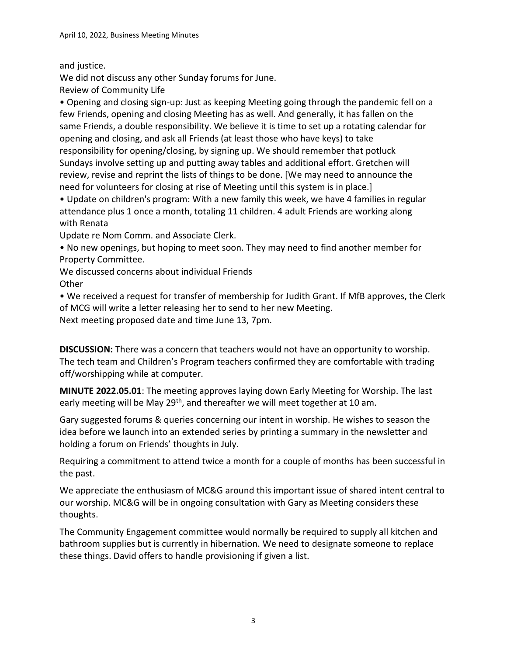# and justice.

We did not discuss any other Sunday forums for June. Review of Community Life

• Opening and closing sign-up: Just as keeping Meeting going through the pandemic fell on a few Friends, opening and closing Meeting has as well. And generally, it has fallen on the same Friends, a double responsibility. We believe it is time to set up a rotating calendar for opening and closing, and ask all Friends (at least those who have keys) to take responsibility for opening/closing, by signing up. We should remember that potluck Sundays involve setting up and putting away tables and additional effort. Gretchen will review, revise and reprint the lists of things to be done. [We may need to announce the need for volunteers for closing at rise of Meeting until this system is in place.]

• Update on children's program: With a new family this week, we have 4 families in regular attendance plus 1 once a month, totaling 11 children. 4 adult Friends are working along with Renata

Update re Nom Comm. and Associate Clerk.

• No new openings, but hoping to meet soon. They may need to find another member for Property Committee.

We discussed concerns about individual Friends **Other** 

• We received a request for transfer of membership for Judith Grant. If MfB approves, the Clerk of MCG will write a letter releasing her to send to her new Meeting.

Next meeting proposed date and time June 13, 7pm.

**DISCUSSION:** There was a concern that teachers would not have an opportunity to worship. The tech team and Children's Program teachers confirmed they are comfortable with trading off/worshipping while at computer.

**MINUTE 2022.05.01**: The meeting approves laying down Early Meeting for Worship. The last early meeting will be May 29<sup>th</sup>, and thereafter we will meet together at 10 am.

Gary suggested forums & queries concerning our intent in worship. He wishes to season the idea before we launch into an extended series by printing a summary in the newsletter and holding a forum on Friends' thoughts in July.

Requiring a commitment to attend twice a month for a couple of months has been successful in the past.

We appreciate the enthusiasm of MC&G around this important issue of shared intent central to our worship. MC&G will be in ongoing consultation with Gary as Meeting considers these thoughts.

The Community Engagement committee would normally be required to supply all kitchen and bathroom supplies but is currently in hibernation. We need to designate someone to replace these things. David offers to handle provisioning if given a list.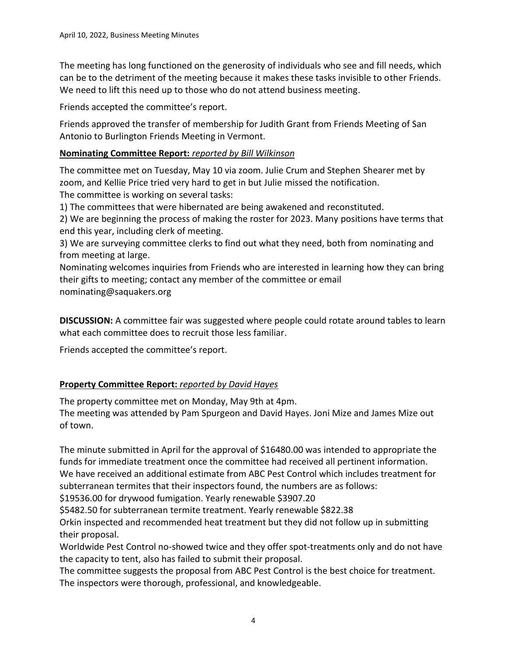The meeting has long functioned on the generosity of individuals who see and fill needs, which can be to the detriment of the meeting because it makes these tasks invisible to other Friends. We need to lift this need up to those who do not attend business meeting.

Friends accepted the committee's report.

Friends approved the transfer of membership for Judith Grant from Friends Meeting of San Antonio to Burlington Friends Meeting in Vermont.

# **Nominating Committee Report:** *reported by Bill Wilkinson*

The committee met on Tuesday, May 10 via zoom. Julie Crum and Stephen Shearer met by zoom, and Kellie Price tried very hard to get in but Julie missed the notification. The committee is working on several tasks:

1) The committees that were hibernated are being awakened and reconstituted.

2) We are beginning the process of making the roster for 2023. Many positions have terms that end this year, including clerk of meeting.

3) We are surveying committee clerks to find out what they need, both from nominating and from meeting at large.

Nominating welcomes inquiries from Friends who are interested in learning how they can bring their gifts to meeting; contact any member of the committee or email nominating@saquakers.org

**DISCUSSION:** A committee fair was suggested where people could rotate around tables to learn what each committee does to recruit those less familiar.

Friends accepted the committee's report.

# **Property Committee Report:** *reported by David Hayes*

The property committee met on Monday, May 9th at 4pm.

The meeting was attended by Pam Spurgeon and David Hayes. Joni Mize and James Mize out of town.

The minute submitted in April for the approval of \$16480.00 was intended to appropriate the funds for immediate treatment once the committee had received all pertinent information. We have received an additional estimate from ABC Pest Control which includes treatment for subterranean termites that their inspectors found, the numbers are as follows:

\$19536.00 for drywood fumigation. Yearly renewable \$3907.20

\$5482.50 for subterranean termite treatment. Yearly renewable \$822.38

Orkin inspected and recommended heat treatment but they did not follow up in submitting their proposal.

Worldwide Pest Control no-showed twice and they offer spot-treatments only and do not have the capacity to tent, also has failed to submit their proposal.

The committee suggests the proposal from ABC Pest Control is the best choice for treatment. The inspectors were thorough, professional, and knowledgeable.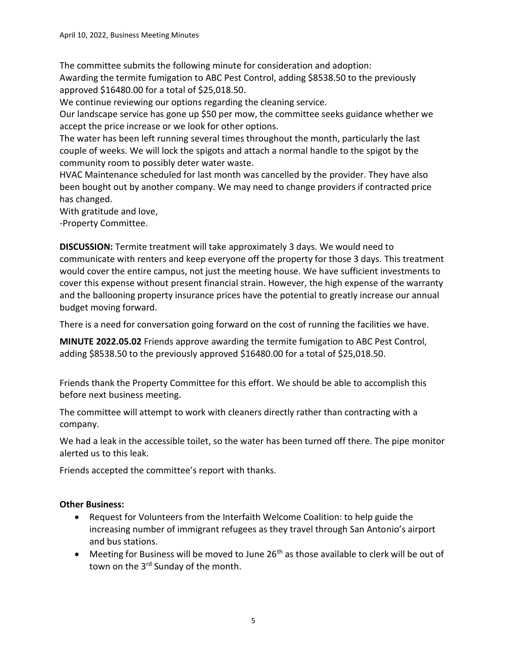The committee submits the following minute for consideration and adoption: Awarding the termite fumigation to ABC Pest Control, adding \$8538.50 to the previously approved \$16480.00 for a total of \$25,018.50.

We continue reviewing our options regarding the cleaning service.

Our landscape service has gone up \$50 per mow, the committee seeks guidance whether we accept the price increase or we look for other options.

The water has been left running several times throughout the month, particularly the last couple of weeks. We will lock the spigots and attach a normal handle to the spigot by the community room to possibly deter water waste.

HVAC Maintenance scheduled for last month was cancelled by the provider. They have also been bought out by another company. We may need to change providers if contracted price has changed.

With gratitude and love,

-Property Committee.

**DISCUSSION:** Termite treatment will take approximately 3 days. We would need to communicate with renters and keep everyone off the property for those 3 days. This treatment would cover the entire campus, not just the meeting house. We have sufficient investments to cover this expense without present financial strain. However, the high expense of the warranty and the ballooning property insurance prices have the potential to greatly increase our annual budget moving forward.

There is a need for conversation going forward on the cost of running the facilities we have.

**MINUTE 2022.05.02** Friends approve awarding the termite fumigation to ABC Pest Control, adding \$8538.50 to the previously approved \$16480.00 for a total of \$25,018.50.

Friends thank the Property Committee for this effort. We should be able to accomplish this before next business meeting.

The committee will attempt to work with cleaners directly rather than contracting with a company.

We had a leak in the accessible toilet, so the water has been turned off there. The pipe monitor alerted us to this leak.

Friends accepted the committee's report with thanks.

#### **Other Business:**

- Request for Volunteers from the Interfaith Welcome Coalition: to help guide the increasing number of immigrant refugees as they travel through San Antonio's airport and bus stations.
- Meeting for Business will be moved to June  $26<sup>th</sup>$  as those available to clerk will be out of town on the 3<sup>rd</sup> Sunday of the month.